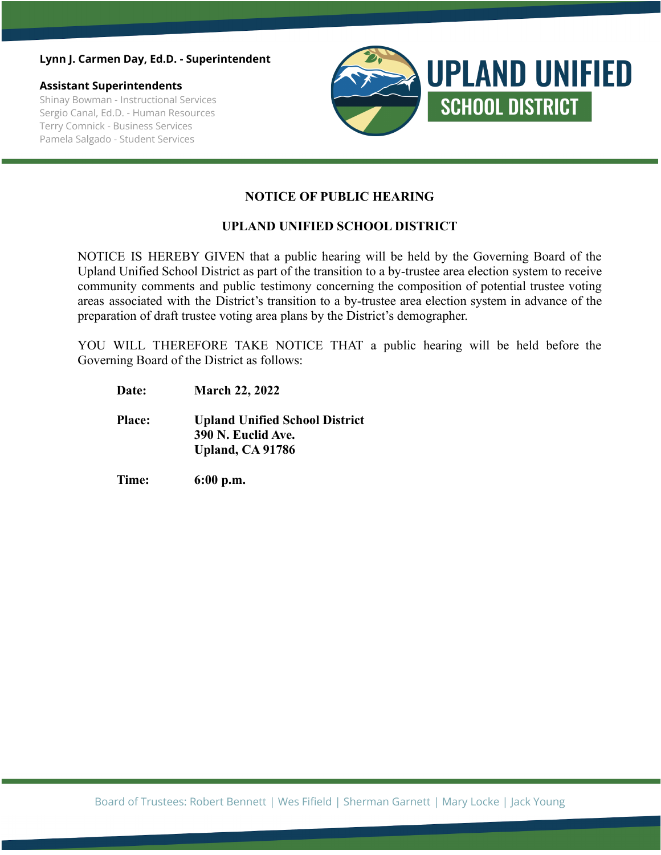### **Lynn J. Carmen Day, Ed.D. - Superintendent**

### **Assistant Superintendents**

Shinay Bowman - Instructional Services Sergio Canal, Ed.D. - Human Resources Terry Comnick - Business Services Pamela Salgado - Student Services



## **NOTICE OF PUBLIC HEARING**

## **UPLAND UNIFIED SCHOOL DISTRICT**

NOTICE IS HEREBY GIVEN that a public hearing will be held by the Governing Board of the Upland Unified School District as part of the transition to a by-trustee area election system to receive community comments and public testimony concerning the composition of potential trustee voting areas associated with the District's transition to a by-trustee area election system in advance of the preparation of draft trustee voting area plans by the District's demographer.

YOU WILL THEREFORE TAKE NOTICE THAT a public hearing will be held before the Governing Board of the District as follows:

- **Date: March 22, 2022**
- **Place: Upland Unified School District 390 N. Euclid Ave. Upland, CA 91786**
- **Time: 6:00 p.m.**